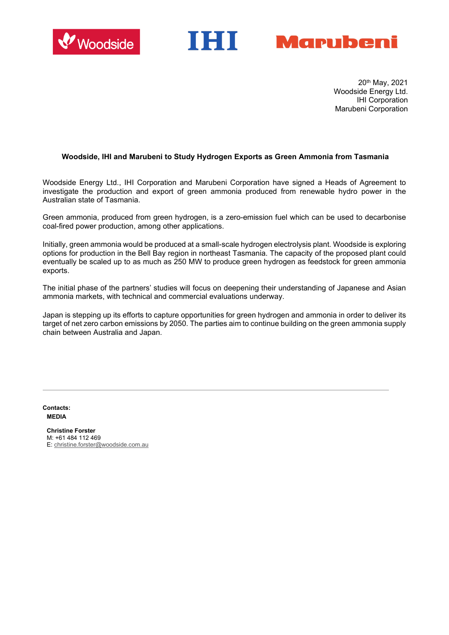



20th May, 2021 Woodside Energy Ltd. IHI Corporation Marubeni Corporation

## **Woodside, IHI and Marubeni to Study Hydrogen Exports as Green Ammonia from Tasmania**

Woodside Energy Ltd., IHI Corporation and Marubeni Corporation have signed a Heads of Agreement to investigate the production and export of green ammonia produced from renewable hydro power in the Australian state of Tasmania.

Green ammonia, produced from green hydrogen, is a zero-emission fuel which can be used to decarbonise coal-fired power production, among other applications.

Initially, green ammonia would be produced at a small-scale hydrogen electrolysis plant. Woodside is exploring options for production in the Bell Bay region in northeast Tasmania. The capacity of the proposed plant could eventually be scaled up to as much as 250 MW to produce green hydrogen as feedstock for green ammonia exports.

The initial phase of the partners' studies will focus on deepening their understanding of Japanese and Asian ammonia markets, with technical and commercial evaluations underway.

Japan is stepping up its efforts to capture opportunities for green hydrogen and ammonia in order to deliver its target of net zero carbon emissions by 2050. The parties aim to continue building on the green ammonia supply chain between Australia and Japan.

**Contacts: MEDIA**

> **Christine Forster** M: +61 484 112 469 E: [christine.forster@woodside.com.au](mailto:christine.forster@woodside.com.au)